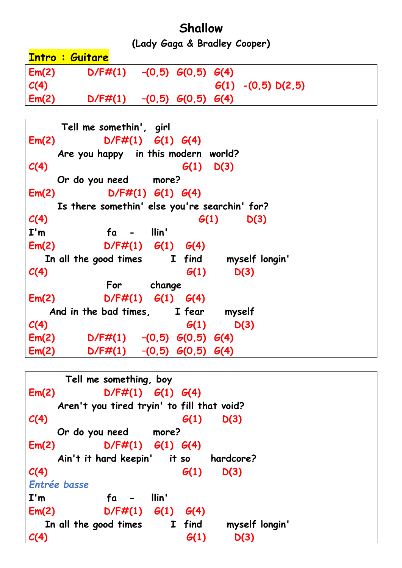## **Shallow**

**(Lady Gaga & Bradley Cooper)**

|       | <b>Intro : Guitare</b> |                          |                          |                       |
|-------|------------------------|--------------------------|--------------------------|-----------------------|
| Em(2) | $D/F\#(1)$             | $-(0,5)$ $G(0,5)$ $G(4)$ |                          |                       |
| C(4)  |                        |                          |                          | $G(1) - (0,5) D(2,5)$ |
| Em(2) | $D/F\#(1)$             |                          | $-(0,5)$ $G(0,5)$ $G(4)$ |                       |

 **Tell me somethin', girl Em(2) D/F#(1) G(1) G(4) Are you happy in this modern world? C(4) G(1) D(3) Or do you need more? Em(2) D/F#(1) G(1) G(4) Is there somethin' else you're searchin' for? C(4) G(1) D(3) I'm fa - llin' Em(2) D/F#(1) G(1) G(4) In all the good times I find myself longin' C(4) G(1) D(3) For change Em(2) D/F#(1) G(1) G(4) And in the bad times, I fear myself C(4) G(1) D(3) Em(2) D/F#(1) –(0,5) G(0,5) G(4) Em(2) D/F#(1) –(0,5) G(0,5) G(4)**

```
 Tell me something, boy
Em(2) D/F#(1) G(1) G(4) 
    Aren't you tired tryin' to fill that void?
C(4) G(1) D(3)
     Or do you need more?
Em(2) D/F#(1) G(1) G(4) 
     Ain't it hard keepin' it so hardcore?
C(4) G(1) D(3)
Entrée basse
I'm fa - llin'
Em(2) D/F#(1) G(1) G(4) 
   In all the good times I find myself longin' 
C(4) G(1) D(3)
```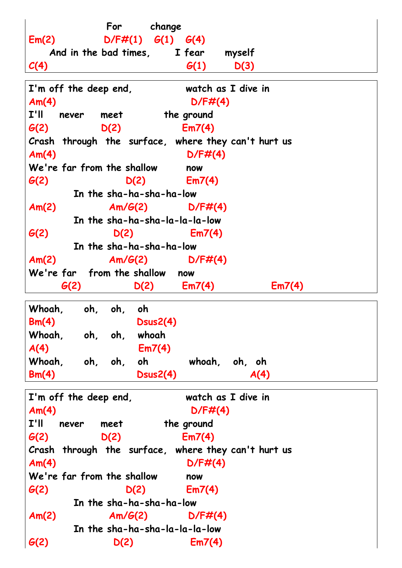**For change Em(2) D/F#(1) G(1) G(4) And in the bad times, I fear myself C(4) G(1) D(3) I'm off the deep end, watch as I dive in Am(4) D/F#(4) I'll never meet the ground G(2) D(2) Em7(4) Crash through the surface, where they can't hurt us Am(4) D/F#(4) We're far from the shallow now G(2) D(2) Em7(4) In the sha-ha-sha-ha-low Am(2) Am/G(2) D/F#(4) In the sha-ha-sha-la-la-la-low G(2) D(2) Em7(4) In the sha-ha-sha-ha-low Am(2) Am/G(2) D/F#(4) We're far from the shallow now G(2) D(2) Em7(4) Em7(4) Whoah, oh, oh, oh Bm(4) Dsus2(4) Whoah, oh, oh, whoah A(4) Em7(4) Whoah, oh, oh, oh whoah, oh, oh Bm(4) Dsus2(4) A(4) I'm off the deep end, watch as I dive in** Am(4) D/F#(4) **I'll never meet the ground G(2) D(2) Em7(4) Crash through the surface, where they can't hurt us Am(4) D/F#(4) We're far from the shallow now G(2) D(2) Em7(4) In the sha-ha-sha-ha-low Am(2) Am/G(2) D/F#(4) In the sha-ha-sha-la-la-la-low G(2) D(2) Em7(4)**